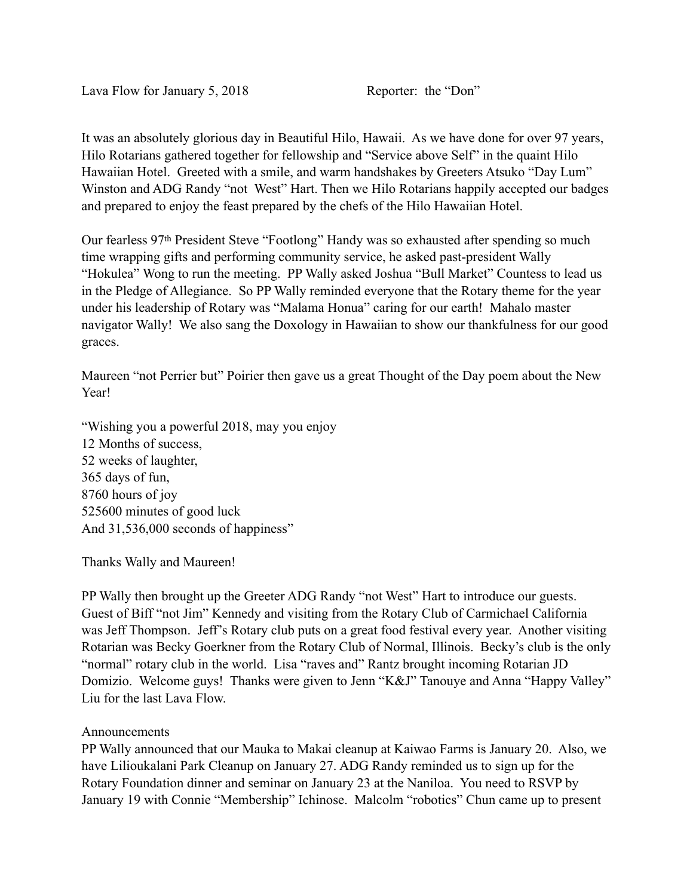Lava Flow for January 5, 2018 Reporter: the "Don"

It was an absolutely glorious day in Beautiful Hilo, Hawaii. As we have done for over 97 years, Hilo Rotarians gathered together for fellowship and "Service above Self" in the quaint Hilo Hawaiian Hotel. Greeted with a smile, and warm handshakes by Greeters Atsuko "Day Lum" Winston and ADG Randy "not West" Hart. Then we Hilo Rotarians happily accepted our badges and prepared to enjoy the feast prepared by the chefs of the Hilo Hawaiian Hotel.

Our fearless 97th President Steve "Footlong" Handy was so exhausted after spending so much time wrapping gifts and performing community service, he asked past-president Wally "Hokulea" Wong to run the meeting. PP Wally asked Joshua "Bull Market" Countess to lead us in the Pledge of Allegiance. So PP Wally reminded everyone that the Rotary theme for the year under his leadership of Rotary was "Malama Honua" caring for our earth! Mahalo master navigator Wally! We also sang the Doxology in Hawaiian to show our thankfulness for our good graces.

Maureen "not Perrier but" Poirier then gave us a great Thought of the Day poem about the New Year!

"Wishing you a powerful 2018, may you enjoy 12 Months of success, 52 weeks of laughter, 365 days of fun, 8760 hours of joy 525600 minutes of good luck And 31,536,000 seconds of happiness"

Thanks Wally and Maureen!

PP Wally then brought up the Greeter ADG Randy "not West" Hart to introduce our guests. Guest of Biff "not Jim" Kennedy and visiting from the Rotary Club of Carmichael California was Jeff Thompson. Jeff's Rotary club puts on a great food festival every year. Another visiting Rotarian was Becky Goerkner from the Rotary Club of Normal, Illinois. Becky's club is the only "normal" rotary club in the world. Lisa "raves and" Rantz brought incoming Rotarian JD Domizio. Welcome guys! Thanks were given to Jenn "K&J" Tanouye and Anna "Happy Valley" Liu for the last Lava Flow.

## Announcements

PP Wally announced that our Mauka to Makai cleanup at Kaiwao Farms is January 20. Also, we have Lilioukalani Park Cleanup on January 27. ADG Randy reminded us to sign up for the Rotary Foundation dinner and seminar on January 23 at the Naniloa. You need to RSVP by January 19 with Connie "Membership" Ichinose. Malcolm "robotics" Chun came up to present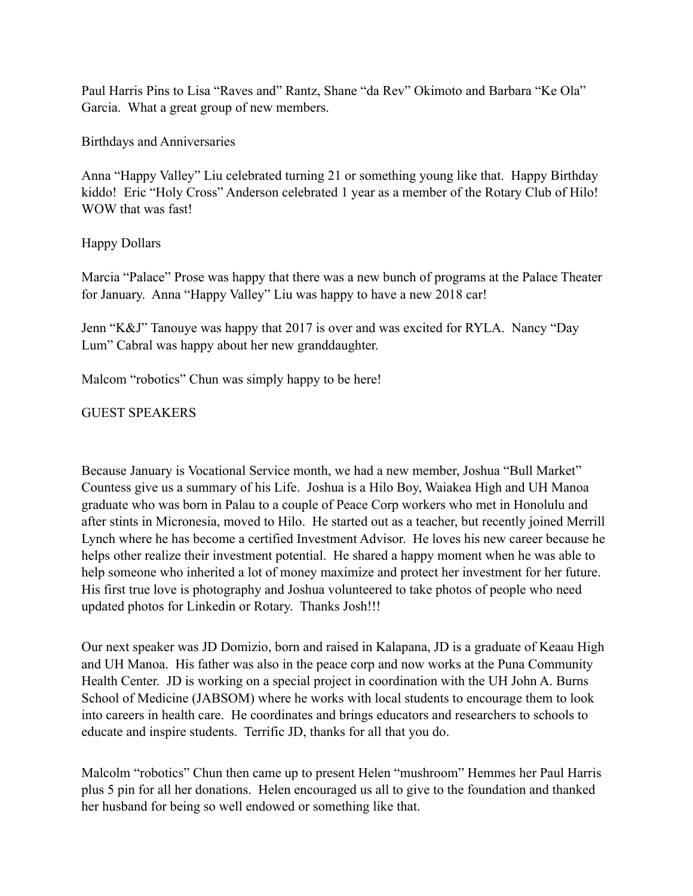Paul Harris Pins to Lisa "Raves and" Rantz, Shane "da Rev" Okimoto and Barbara "Ke Ola" Garcia. What a great group of new members.

Birthdays and Anniversaries

Anna "Happy Valley" Liu celebrated turning 21 or something young like that. Happy Birthday kiddo! Eric "Holy Cross" Anderson celebrated 1 year as a member of the Rotary Club of Hilo! WOW that was fast!

## Happy Dollars

Marcia "Palace" Prose was happy that there was a new bunch of programs at the Palace Theater for January. Anna "Happy Valley" Liu was happy to have a new 2018 car!

Jenn "K&J" Tanouye was happy that 2017 is over and was excited for RYLA. Nancy "Day Lum" Cabral was happy about her new granddaughter.

Malcom "robotics" Chun was simply happy to be here!

## GUEST SPEAKERS

Because January is Vocational Service month, we had a new member, Joshua "Bull Market" Countess give us a summary of his Life. Joshua is a Hilo Boy, Waiakea High and UH Manoa graduate who was born in Palau to a couple of Peace Corp workers who met in Honolulu and after stints in Micronesia, moved to Hilo. He started out as a teacher, but recently joined Merrill Lynch where he has become a certified Investment Advisor. He loves his new career because he helps other realize their investment potential. He shared a happy moment when he was able to help someone who inherited a lot of money maximize and protect her investment for her future. His first true love is photography and Joshua volunteered to take photos of people who need updated photos for Linkedin or Rotary. Thanks Josh!!!

Our next speaker was JD Domizio, born and raised in Kalapana, JD is a graduate of Keaau High and UH Manoa. His father was also in the peace corp and now works at the Puna Community Health Center. JD is working on a special project in coordination with the UH John A. Burns School of Medicine (JABSOM) where he works with local students to encourage them to look into careers in health care. He coordinates and brings educators and researchers to schools to educate and inspire students. Terrific JD, thanks for all that you do.

Malcolm "robotics" Chun then came up to present Helen "mushroom" Hemmes her Paul Harris plus 5 pin for all her donations. Helen encouraged us all to give to the foundation and thanked her husband for being so well endowed or something like that.